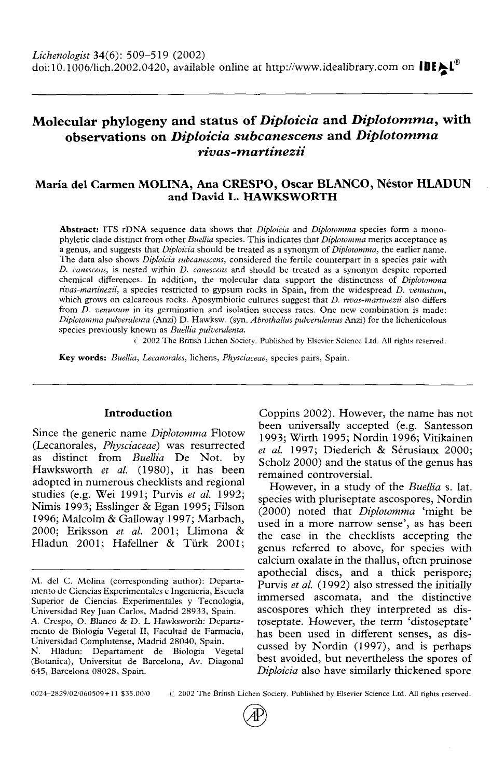# Molecular phylogeny and status *of Diploicia* and *Diplotomma,* with observations on *Diploicia subcanescens* and *Diplotomma rivas-martinezii*

# Maria del Carmen MOLINA, Ana CRESPO, Oscar BLANCO, Nestor HLADUN and David L. HAWKSWORTH

**Abstract:** ITS rDNA sequence data shows that *Diploicia* and *Diplotomma* species form a mono-<br>phyletic clade distinct from other *Buellia* species. This indicates that *Diplotomma* merits acceptance as<br>a genus, and sugge *D. canescens,* is nested within *D. canescens* and should be treated as a synonym despite reported chemical differences. In addition, the molecular data support the distinctness of *Diplotomma rivas-martinezii,* a species restricted to gypsum rocks in Spain, from the widespread *D. venustum,* from *D. venustum* in its germination and isolation success rates. One new combination is made: *Diplotomma pulverulenta* (Anzi) D. Hawksw. (syn. *Abrothallus pulverulentus* Anzi) for the lichenicolous species previously known as *Buellia pulverulenta.*

*V* 2002 The British Lichen Society. Published by Elsevier Science Ltd. All rights reserved.

**Key words:** *Buellia, Lecanorales,* lichens, *Physciaceae,* species pairs, Spain.

### **Introduction**

Since the generic name *Diplotomma* Flotow (Lecanorales, *Physciaceae)* was resurrected as distinct from *Buellia* De Not. by Hawksworth *et al.* (1980), it has been adopted in numerous checklists and regional studies (e.g. Wei 1991; Purvis *et al.* 1992; Nimis 1993; Esslinger & Egan 1995; Filson 1996; Malcolm & Galloway 1997; Marbach, 2000; Eriksson *et al.* 2001; Llimona & Hladun 2001; Hafellner & Türk 2001;

Coppins 2002). However, the name has not been universally accepted (e.g. Santesson 1993; Wirth 1995; Nordin 1996; Vitikainen *et al.* 1997; Diederich & Serusiaux 2000; Scholz 2000) and the status of the genus has remained controversial.

However, in a study of the *Buellia* s. lat. species with pluriseptate ascospores, Nordin (2000) noted that *Diplotomma* 'might be used in a more narrow sense', as has been the case in the checklists accepting the genus referred to above, for species with calcium oxalate in the thallus, often pruinose apothecial discs, and a thick perispore; Purvis *et al.* (1992) also stressed the initially immersed ascomata, and the distinctive ascospores which they interpreted as dis-<br>toseptate. However, the term 'distoseptate'<br>has been used in different senses, as dis-<br>cussed by Nordin (1997), and is perhaps best avoided, but nevertheless the spores of *Diploicia* also have similarly thickened spore

0024-2829/02/060509+11 \$35.00/0 (2002 The British Lichen Society. Published by Elsevier Science Ltd. All rights reserved.

M. del C. Molina (corresponding author): Departamento de Ciencias Experimentales e Ingenieria, Escuela<br>Superior de Ciencias Experimentales y Tecnología,<br>Universidad Rey Juan Carlos, Madrid 28933, Spain.<br>A. Crespo, O. Blanc (Botanica), Universitat de Barcelona, Av. Diagonal 645, Barcelona 08028, Spain.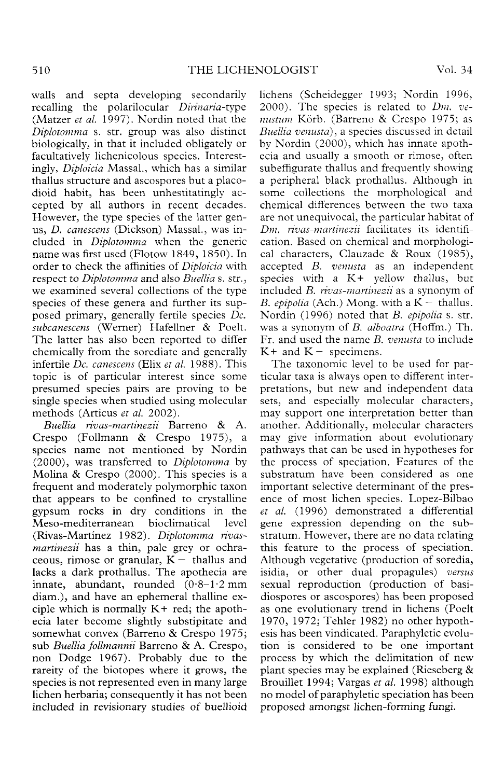walls and septa developing secondarily recalling the polarilocular *Dirinaria-type* (Matzer *et al.* 1997). Nordin noted that the *Diplotomma* s. str. group was also distinct biologically, in that it included obligately or facultatively lichenicolous species. Interest- ingly, *Diploicia* Massal., which has a similar thallus structure and ascospores but a placo-<br>dioid habit, has been unhestitatingly ac-<br>cepted by all authors in recent decades.<br>However, the type species of the latter genus, *D. canescens* (Dickson) Massal., was in- cluded in *Diplotomma* when the generic name was first used (Flotow 1849, 1850). In order to check the affinities of *Diploicia* with respect to *Diplotomma* and also *Buellia* s. str., we examined several collections of the type species of these genera and further its sup- posed primary, generally fertile species *Dc. subcanescens* (Werner) Hafellner & Poelt. The latter has also been reported to differ chemically from the sorediate and generally infertile *Dc. canescens* (Elix *et al.* 1988). This topic is of particular interest since some presumed species pairs are proving to be single species when studied using molecular methods (Articus *et al.* 2002).

*Buellia rivas-martinezii* Barreno & A. Crespo (Follmann & Crespo 1975), a species name not mentioned by Nordin (2000), was transferred to *Diplotomma* by Molina & Crespo (2000). This species is a frequent and moderately polymorphic taxon that appears to be confined to crystalline gypsum rocks in dry conditions in the Meso-mediterranean bioclimatical level (Rivas-Martinez 1982). *Diplotomma rivasmartinezii* has a thin, pale grey or ochra-ceous, rimose or granular,  $K -$  thallus and lacks a dark prothallus. The apothecia are innate, abundant, rounded  $(0.8-1.2 \text{ mm})$ diam.), and have an ephemeral thalline ex-<br>ciple which is normally K+ red; the apoth-<br>ecia later become slightly substipitate and somewhat convex (Barreno & Crespo 1975; sub *Buellia follmannii* Barreno & A. Crespo, non Dodge 1967). Probably due to the rareity of the biotopes where it grows, the species is not represented even in many large lichen herbaria; consequently it has not been included in revisionary studies of buellioid lichens (Scheidegger 1993; Nordin 1996, 2000). The species is related to *Din. vennstum* Korb. (Barreno & Crespo 1975; as *Buellia venusta),* a species discussed in detail by Nordin (2000), which has innate apoth- ecia and usually a smooth or rimose, often subeffigurate thallus and frequently showing a peripheral black prothallus. Although in some collections the morphological and chemical differences between the two taxa are not unequivocal, the particular habitat of *Dm. rivas-martinezii* facilitates its identification. Based on chemical and morphological characters, Clauzade & Roux (1985), accepted *B. venusta* as an independent species with a  $K<sup>+</sup>$  yellow thallus, but included *B. rivas-martinezii* as a synonym of *B. epipolia* (Ach.) Mong. with a K~ thallus. Nordin (1996) noted that *B. epipolia* s. str. was a synonym of *B. alboatra* (Hoffm.) Th. Fr. and used the name *B. venusta* to include  $K+$  and  $K-$  specimens.

The taxonomic level to be used for par-<br>ticular taxa is always open to different inter-<br>pretations, but new and independent data sets, and especially molecular characters, may support one interpretation better than another. Additionally, molecular characters may give information about evolutionary pathways that can be used in hypotheses for the process of speciation. Features of the substratum have been considered as one important selective determinant of the pres- ence of most lichen species. Lopez-Bilbao *et al.* (1996) demonstrated a differential gene expression depending on the sub- stratum. However, there are no data relating this feature to the process of speciation. Although vegetative (production of soredia, isidia, or other dual propagules) *versus* sexual reproduction (production of basi- diospores or ascospores) has been proposed as one evolutionary trend in lichens (Poelt 1970, 1972; Tehler 1982) no other hypothesis has been vindicated. Paraphyletic evolu-<br>tion is considered to be one important process by which the delimitation of new plant species may be explained (Rieseberg  $\&$ Brouillet 1994; Vargas *et al.* 1998) although no model of paraphyletic speciation has been proposed amongst lichen-forming fungi.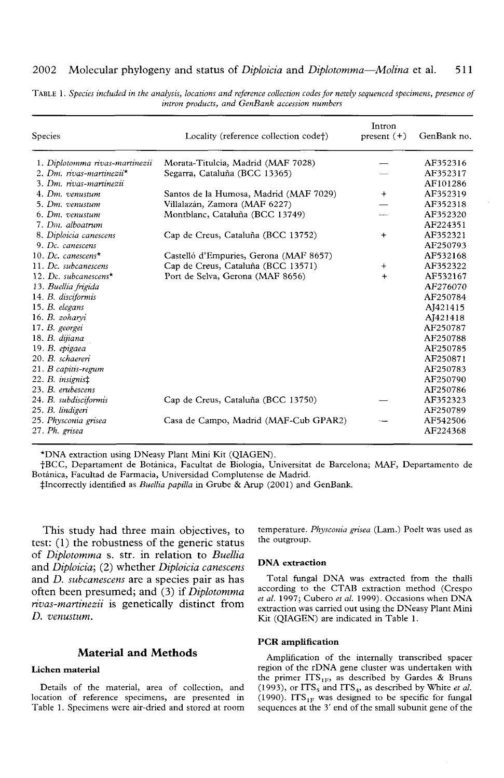### 2002 Molecular phylogeny and status of *Diploicia* and *Diplotomma*—*Molina* et al. 511

| Species                         | Locality (reference collection code†)  | Intron<br>present $(+)$ | GenBank no. |
|---------------------------------|----------------------------------------|-------------------------|-------------|
| 1. Diplotomma rivas-martinezii  | Morata-Titulcia, Madrid (MAF 7028)     |                         | AF352316    |
| 2. Dm. rivas-martinezii $\star$ | Segarra, Cataluña (BCC 13365)          |                         | AF352317    |
| 3. Dm. rivas-martinezii         |                                        |                         | AF101286    |
| 4. Dm. venustum                 | Santos de la Humosa, Madrid (MAF 7029) | $\ddot{}$               | AF352319    |
| 5. Dm. venustum                 | Villalazán, Zamora (MAF 6227)          |                         | AF352318    |
| 6. Dm. venustum                 | Montblanc, Cataluña (BCC 13749)        |                         | AF352320    |
| 7. Dm. alboatrum                |                                        |                         | AF224351    |
| 8. Diploicia canescens          | Cap de Creus, Cataluña (BCC 13752)     | $+$                     | AF352321    |
| 9. Dc. canescens                |                                        |                         | AF250793    |
| 10. Dc. canescens $*$           | Castelló d'Empuries, Gerona (MAF 8657) |                         | AF532168    |
| 11. Dc. subcanescens            | Cap de Creus, Cataluña (BCC 13571)     | $^{+}$                  | AF352322    |
| 12. Dc. subcanescens*           | Port de Selva, Gerona (MAF 8656)       | $\ddot{}$               | AF532167    |
| 13. Buellia frigida             |                                        |                         | AF276070    |
| 14. B. disciformis              |                                        |                         | AF250784    |
| $15. B.$ elegans                |                                        |                         | AI421415    |
| 16. B. zoharvi                  |                                        |                         | AJ421418    |
| 17. B. georgei                  |                                        |                         | AF250787    |
| 18. B. dijiana                  |                                        |                         | AF250788    |
| 19. B. epigaea                  |                                        |                         | AF250785    |
| 20. B. schaereri                |                                        |                         | AF250871    |
| $21. B$ capitis-regum           |                                        |                         | AF250783    |
| $22. B.$ insignis $\ddagger$    |                                        |                         | AF250790    |
| 23. B. erubescens               |                                        |                         | AF250786    |
| 24. B. subdisciformis           | Cap de Creus, Cataluña (BCC 13750)     |                         | AF352323    |
| 25. B. lindigeri                |                                        |                         | AF250789    |
| 25. Physconia grisea            | Casa de Campo, Madrid (MAF-Cub GPAR2)  |                         | AF542506    |
| 27. Ph. grisea                  |                                        |                         | AF224368    |

TABLE 1. *Species included in the analysis, locations and reference collection codes for newly sequenced specimens, presence of intron products, and GenBank accession numbers*

\*DNA extraction using DNeasy Plant Mini Kit (QIAGEN).

fBCC, Departament de Botanica, Facultat de Biologia, Universitat de Barcelona; MAF, Departamento de Botanica, Facultad de Farmacia, Universidad Complutense de Madrid.

^Incorrectly identified as *Buellia papilla* in Grube & Arup (2001) and GenBank.

This study had three main objectives, to test: (1) the robustness of the generic status of *Diplotomma* s. str. in relation to *Buellia* and *Diploicia;* (2) whether *Diploicia canescens* and *D. subcanescens* are a species pair as has often been presumed; and (3) if *Diplotomma rivas-martinezii* is genetically distinct from *D. venustum.*

### **Material and Methods**

### **Lichen material**

Details of the material, area of collection, and location of reference specimens, are presented in Table 1. Specimens were air-dried and stored at room temperature. *Physconia grisea* (Lam.) Poelt was used as the outgroup.

#### **DNA extraction**

Total fungal DNA was extracted from the thalli according to the CTAB extraction method (Crespo *et al.* 1997; Cubero *et al.* 1999). Occasions when DNA extraction was carried out using the DNeasy Plant Mini Kit (QIAGEN) are indicated in Table **1**.

#### **PCR amplification**

Amplification of the internally transcribed spacer region of the rDNA gene cluster was undertaken with the primer  $ITS_{1F}$ , as described by Gardes & Bruns (1993), or  $ITS<sub>5</sub>$  and  $ITS<sub>4</sub>$ , as described by White *et al.* (1990). ITS<sub>1F</sub> was designed to be specific for fungal sequences at the 3' end of the small subunit gene of the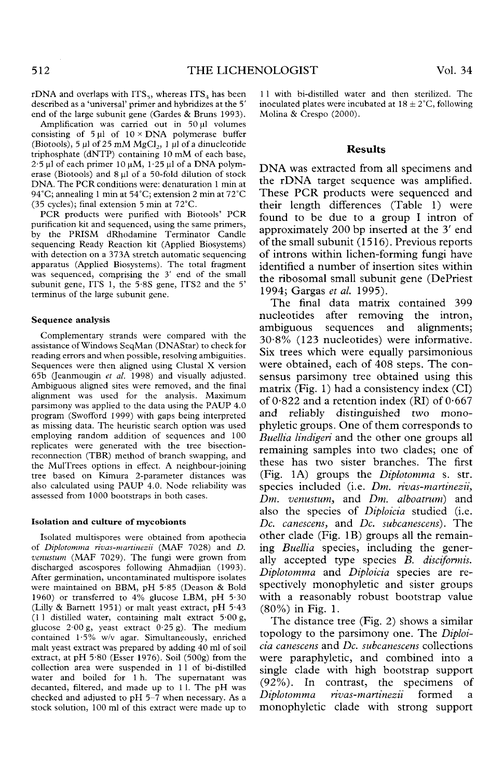rDNA and overlaps with ITS<sub>5</sub>, whereas ITS<sub>4</sub> has been described as a 'universal' primer and hybridizes at the 5' end of the large subunit gene (Gardes & Bruns 1993).

Amplification was carried out in 50 µl volumes<br>consisting of 5 µl of 10 × DNA polymerase buffer<br>(Biotools), 5 µl of 25 mM MgCl<sub>2</sub>, 1 µl of a dinucleotide<br>triphosphate (dNTP) containing 10 mM of each base,<br>2.5 µl of each p DNA. The PCR conditions were: denaturation 1 min at 94°C; annealing 1 min at 54°C; extension 2 min at 72°C (35 cycles); final extension 5 min at 72°C.

PCR products were purified with Biotools' PCR<br>purification kit and sequenced, using the same primers, by the PRISM dRhodamine Terminator Candle sequencing Ready Reaction kit (Applied Biosystems) with detection on a 373A stretch automatic sequencing apparatus (Applied Biosystems). The total fragment was sequenced, comprising the 3' end of the small subunit gene, ITS 1, the 5-8S gene, ITS2 and the 5' terminus of the large subunit gene.

#### **Sequence analysis**

Complementary strands were compared with the assistance of Windows SeqMan (DNAStar) to check for reading errors and when possible, resolving ambiguities. Sequences were then aligned using Clustal X version 65b (Jeanmougin alignment was used for the analysis. Maximum parsimony was applied to the data using the PAUP 4.0 program (Swofford 1999) with gaps being interpreted as missing data. The heuristic search option was used employing random addition of sequences and 100 replicates were generated with the tree bisection- reconnection (TBR) method of branch swapping, and the MulTrees options in effect. A neighbour-joining tree based on Kimura 2-parameter distances was also calculated using PAUP 4.0. Node reliability was assessed from 1000 bootstraps in both cases.

#### **Isolation and culture of mycobionts**

Isolated multispores were obtained from apothecia of *Diplotomma rivas-martinezii* (MAF 7028) and *D. venustum* (MAF 7029). The fungi were grown from discharged ascospores following Ahmadjian (1993). After germination, uncontaminated multispore isolates were maintained on BBM, pH 5-85 (Deason & Bold 1960) or transferred to 4% glucose LBM, pH 5-30 (Lilly & Barnett 1951) or malt yeast extract, pH 5-43 (11 distilled water, containing malt extract 5:00 g, glucose 2:00 g, yeast extract 0:25 g). The medium contained 1:5% w/v agar. Simultaneously, enriched malt yeast extract was prepared by adding 40 ml of soil extract, at pH 5-80 (Esser 1976). Soil (500g) from the collection area were suspended in 1 1 of bi-distilled water and boiled for 1 h. The supernatant was decanted, filtered, and made up to 1 l. The pH was checked and adjusted to pH 5-7 when necessary. As a stock solution, 100 ml of this extract were made up to 11 with bi-distilled water and then sterilized. The inoculated plates were incubated at  $18 \pm 2^{\circ}$ C, following Molina & Crespo (2000).

### **Results**

DNA was extracted from all specimens and<br>the rDNA target sequence was amplified. These PCR products were sequenced and their length differences (Table 1) were found to be due to a group I intron of approximately 200 bp inserted at the 3' end of the small subunit (1516). Previous reports of introns within lichen-forming fungi have identified a number of insertion sites within the ribosomal small subunit gene (DePriest 1994; Gargas *et al.* 1995).

The final data matrix contained 399 nucleotides after removing the intron, ambiguous sequences and alignments; 30-8% (123 nucleotides) were informative. Six trees which were equally parsimonious were obtained, each of 408 steps. The consensus parsimony tree obtained using this matrix (Fig. 1) had a consistency index (CI) of  $0.822$  and a retention index (RI) of  $0.667$ and reliably distinguished two mono- phyletic groups. One of them corresponds to *Buellia lindigeri* and the other one groups all remaining samples into two clades; one of these has two sister branches. The first (Fig. 1A) groups the *Diplotomma* s. str. species included (i.e. *Dm. rivas-martinezii, Dm. venustum,* and *Dm. alboatrum)* and also the species of *Diploicia* studied (i.e. *Dc. canescens,* and *Dc. subcanescens).* The other clade (Fig. IB) groups all the remain- ing *Buellia* species, including the gener- ally accepted type species *B. disciformis. Diplotomma* and *Diploicia* species are re- spectively monophyletic and sister groups with a reasonably robust bootstrap value (80%) in Fig. 1.

The distance tree (Fig. 2) shows a similar topology to the parsimony one. The *Diploicia canescens* and *Dc. subcanescens* collections were paraphyletic, and combined into a single clade with high bootstrap support (92%). In contrast, the specimens of *Diplotomma rivas-martinezii* formed a monophyletic clade with strong support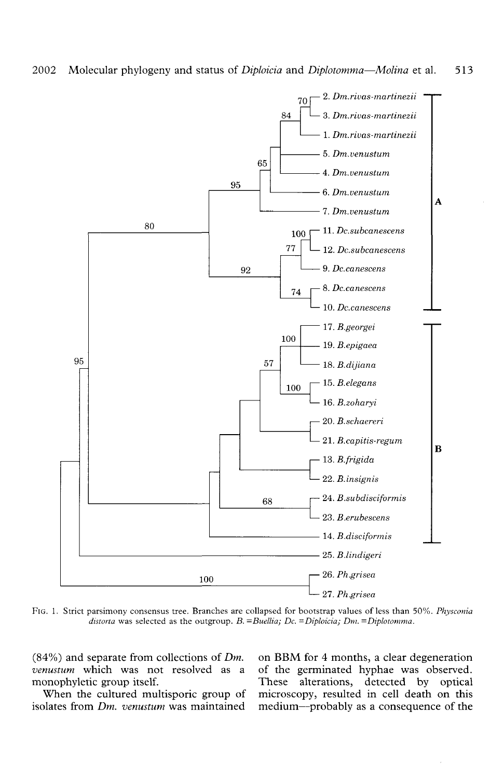

FIG. 1. Strict parsimony consensus tree. Branches are collapsed for bootstrap values of less than 50%. *Physconia distorta* was selected as the outgroup. B. = Buellia; Dc. = Diploicia; Dm. = Diplotomma.

(84%) and separate from collections of  $Dm$ . on BBM for 4 months, a clear degeneration *venustum* which was not resolved as a of the germinated hyphae was observed.

*venustum* which was not resolved as a of the germinated hyphae was observed.<br> **These** alterations, detected by optical onophyletic group itself.<br>
When the cultured multisporic group of microscopy, resulted in cell death on this When the cultured multisporic group of microscopy, resulted in cell death on this isolates from  $Dm$ , venustum was maintained medium—probably as a consequence of the medium—probably as a consequence of the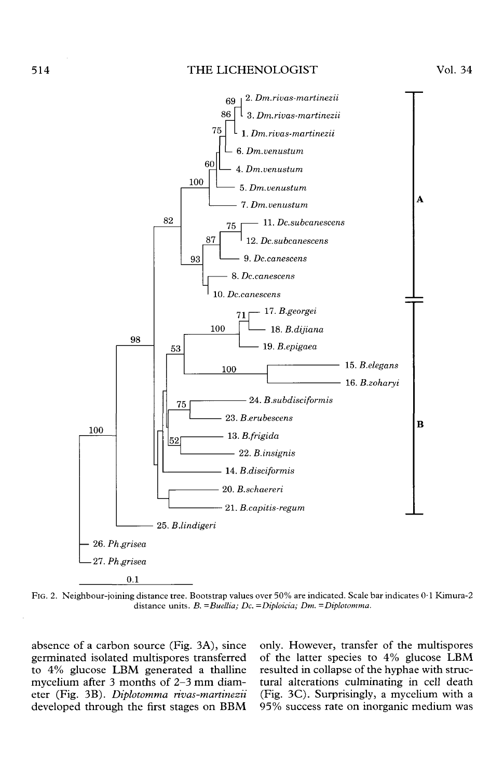## 514 THE LICHENOLOGIST Vol. 34



FIG. 2. Neighbour-joining distance tree. Bootstrap values over 50% are indicated. Scale bar indicates 0-1 Kimura-2 distance units. B. = Buellia; Dc. = Diploicia; Dm. = Diplotomma.

absence of a carbon source (Fig. 3A), since germinated isolated multispores transferred to 4% glucose LBM generated a thalline mycelium after 3 months of 2-3 mm diam- eter (Fig. 3B). *Diplotomma rivas-martinezii* developed through the first stages on BBM only. However, transfer of the multispores of the latter species to 4% glucose LBM resulted in collapse of the hyphae with struc- tural alterations culminating in cell death (Fig. 3C). Surprisingly, a mycelium with a 95% success rate on inorganic medium was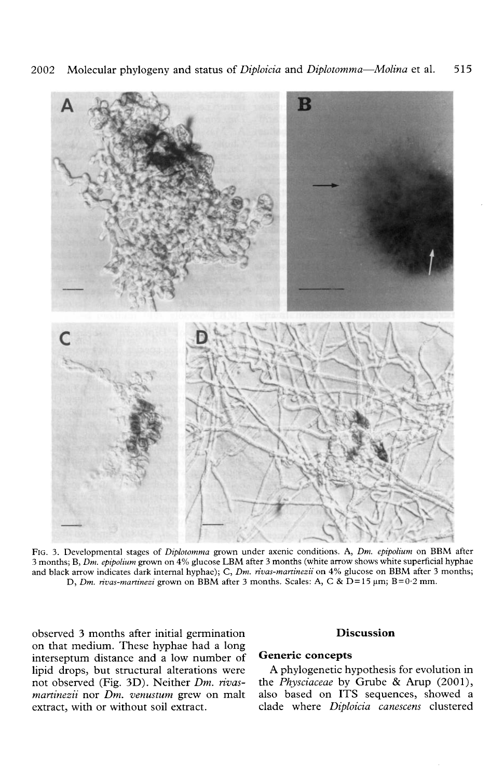

FIG. 3. Developmental stages of *Diplotomma* grown under axenic conditions. A, *Dm. epipolium* on BBM after 3 months; B, *Dm. epipolium* grown on 4% glucose LBM after 3 months (white arrow shows white superficial hyphae and black arrow indicates dark internal hyphae); C, *Dm. rivas-maninezii* on 4% glucose on BBM after 3 months; D, Dm. rivas-martinezi grown on BBM after 3 months. Scales: A, C & D=15 µm; B=0.2 mm.

observed 3 months after initial germination on that medium. These hyphae had a long interseptum distance and a low number of lipid drops, but structural alterations were not observed (Fig. 3D). Neither *Dm. rivasmartinezii* nor *Dm. venustum* grew on malt extract, with or without soil extract.

# **Discussion**

# **Generic concepts**

A phylogenetic hypothesis for evolution in the *Physciaceae* by Grube & Arup  $(2001)$ , also based on ITS sequences, showed a clade where *Diploicia canescens* clustered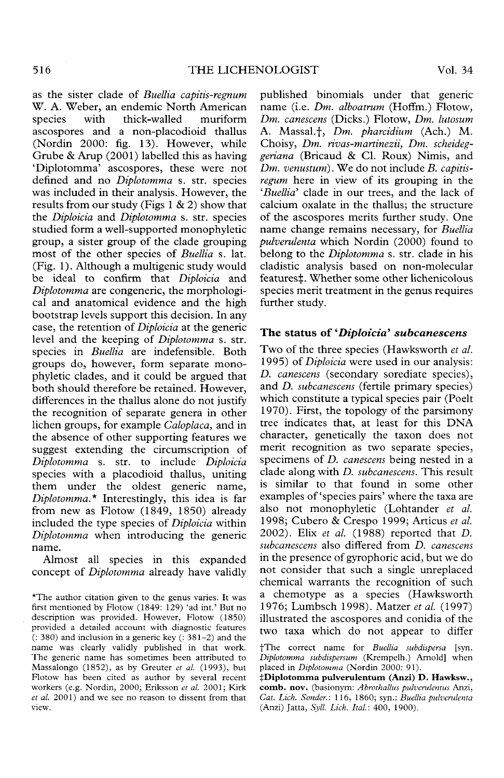as the sister clade of *Buellia capitis-regnum* W. A. Weber, an endemic North American species with thick-walled muriform ascospores and a non-placodioid thallus (Nordin 2000: fig. 13). However, while Grube & Arup (2001) labelled this as having 'Diplotomma' ascospores, these were not defined and no *Diplotomma* s. str. species was included in their analysis. However, the results from our study (Figs  $1 \& 2$ ) show that the *Diploicia* and *Diplotomma* s. str. species studied form a well-supported monophyletic group, a sister group of the clade grouping most of the other species of *Buellia* s. lat. (Fig. 1). Although a multigenic study would be ideal to confirm that *Diploicia* and *Diplotomma* are congeneric, the morphologi- cal and anatomical evidence and the high bootstrap levels support this decision. In any case, the retention of *Diploicia* at the generic level and the keeping of *Diplotomma* s. str. species in *Buellia* are indefensible. Both groups do, however, form separate mono- phyletic clades, and it could be argued that both should therefore be retained. However, differences in the thallus alone do not justify the recognition of separate genera in other lichen groups, for example *Caloplaca,* and in the absence of other supporting features we suggest extending the circumscription of *Diplotomma* s. str. to include *Diploicia* species with a placodioid thallus, uniting them under the oldest generic name, *Diplotomma\** Interestingly, this idea is far from new as Flotow (1849, 1850) already included the type species of *Diploicia* within *Diplotomma* when introducing the generic Dipiou

Almost all species in this expanded concept of *Diplotomma* already have validly published binomials under that generic<br>name (i.e. *Dm. alboatrum* (Hoffm.) Flotow. name (i.e. *Dm. alboatrum* (Hoffm.) Flotow, *Dm. canescens* (Dicks.) Flotow, *Dm. lutosum* A. Massal.f, *Dm. pharcidium* (Ach.) M. Choisy, *Dm. rivas-martinezii, Dm. scheideggeriana* (Bricaud & Cl. Roux) Nimis, and *Dm. venustum).* We do not include *B. capitisregum* here in view of its grouping in the *'Buellia'* clade in our trees, and the lack of calcium oxalate in the thallus; the structure of the ascospores merits further study. One name change remains necessary, for *Buellia pulverulenta* which Nordin (2000) found to belong to the *Diplotomma* s. str. clade in his cladistic analysis based on non-molecular features‡. Whether some other lichenicolous species merit treatment in the genus requires further study.

# **The status of** *'Diploicia' subcanescens*

Two of the three species (Hawksworth *et al.* 1995) *of Diploicia* were used in our analysis: *D. canescens* (secondary sorediate species), and *D. subcanescens* (fertile primary species) which constitute a typical species pair (Poelt 1970). First, the topology of the parsimony tree indicates that, at least for this DNA character, genetically the taxon does not merit recognition as two separate species, specimens of *D. canescens* being nested in a clade along with *D. subcanescens.* This result is similar to that found in some other examples of 'species pairs' where the taxa are also not monophyletic (Lohtander *et al.* 1998; Cubero & Crespo 1999; Articus *et al.* 2002). Elix *et al.* (1988) reported that *D. subcanescens* also differed from *D. canescens* in the presence of gyrophoric acid, but we do not consider that such a single unreplaced chemical warrants the recognition of such a chemotype as a species (Hawksworth 1976; Lumbsch 1998). Matzer *et al.* (1997) illustrated the ascospores and conidia of the two taxa which do not appear to differ

<sup>\*</sup>The author citation given to the genus varies. It was first mentioned by Flotow (1849: 129) 'ad int.' But no description was provided. However, Flotow (1850) provided a detailed account with diagnostic features (: 380) and inclusion in a generic key (: 381-2) and the name was clearly validly published in that work. The generic name has sometimes been attributed to Massalongo (1852), as by Greuter *et al.* (1993), but Flotow has been cited as author by several recent workers (e.g. Nordin, 2000; Eriksson *et al.* 2001; Kirk *et al.* 2001) and we see no reason to dissent from that view.

fThe correct name for *Buellia subdispersa* [syn. *Diplotomma subdispersum* (Krempelh.) Arnold] when placed in *Diplotomma* (Nordin 2000: 91).

**<sup>^</sup>Diplotomma pulverulentum (Anzi) D. Hawksw., comb. nov.** (basionym: *Abrothallus pulverulentus* Anzi, *Cat. Lich. Sander.:* 116, 1860; syn.: *Buellia pulverulenta* (Anzi) Jatta, *Syll. Lieh. Ital:* 400, 1900).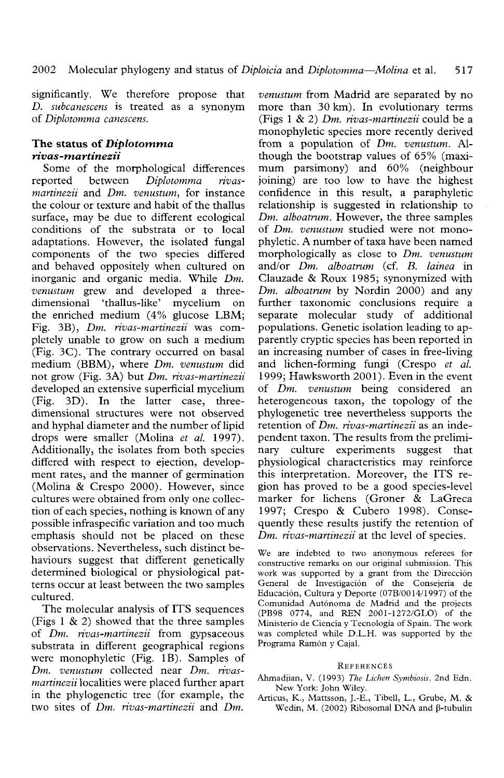significantly. We therefore propose that *D. subcanescens* is treated as a synonym of *Diplotomma canescens.*

# **The status of** *Diplotomma rivas-martinezii*

Some of the morphological differences reported between *Diplotomma rivasmartinezii* and *Dm. venustum,* for instance the colour or texture and habit of the thallus surface, may be due to different ecological conditions of the substrata or to local adaptations. However, the isolated fungal components of the two species differed and behaved oppositely when cultured on inorganic and organic media. While *Dm. venustum* grew and developed a three- dimensional 'thallus-like' mycelium on the enriched medium (4% glucose LBM; Fig. 3B), *Dm. rivas-martinezii* was com- pletely unable to grow on such a medium (Fig. 3C). The contrary occurred on basal medium (BBM), where *Dm. venustum* did not grow (Fig. 3A) but *Dm. rivas-martinezii* developed an extensive superficial mycelium (Fig. 3D). In the latter case, three- dimensional structures were not observed and hyphal diameter and the number of lipid drops were smaller (Molina *et al.* 1997). Additionally, the isolates from both species differed with respect to ejection, develop- ment rates, and the manner of germination (Molina & Crespo 2000). However, since cultures were obtained from only one collec- tion of each species, nothing is known of any possible infraspecific variation and too much emphasis should not be placed on these observations. Nevertheless, such distinct be- haviours suggest that different genetically determined biological or physiological patterns occur at least between the two samples<br>cultured.

The molecular analysis of ITS sequences (Figs 1 & 2) showed that the three samples of *Dm. rivas-martinezii* from gypsaceous substrata in different geographical regions were monophyletic (Fig. IB). Samples of *Dm. venustum* collected near *Dm. rivasmartinezii* localities were placed further apart in the phylogenetic tree (for example, the two sites of *Dm. rivas-martinezii* and *Dm.*

*venustum* from Madrid are separated by no more than 30 km). In evolutionary terms (Figs 1 & 2) *Dm. rivas-martinezii* could be a monophyletic species more recently derived from a population of *Dm. venustum.* Al-<br>though the bootstrap values of 65% (maxi-<br>mum parsimony) and 60% (neighbour joining) are too low to have the highest confidence in this result, a paraphyletic relationship is suggested in relationship to *Dm. alboatrum.* However, the three samples of *Dm. venustum* studied were not mono- phyletic. A number of taxa have been named morphologically as close to *Dm. venustum* and/or *Dm. alboatrum* (cf. *B. lainea* in Clauzade & Roux 1985; synonymized with *Dm. alboatrum* by Nordin 2000) and any further taxonomic conclusions require a separate molecular study of additional populations. Genetic isolation leading to ap- parently cryptic species has been reported in an increasing number of cases in free-living and lichen-forming fungi (Crespo *et al.* 1999; Hawksworth 2001). Even in the event of *Dm. venustum* being considered an heterogeneous taxon, the topology of the phylogenetic tree nevertheless supports the retention of *Dm. rivas-martinezii* as an independent taxon. The results from the preliminary culture experiments suggest that physiological characteristics may reinforce this interpretation. Moreover, the ITS region has proved to be a good species-level<br>marker for lichens (Groner & LaGreca 1997; Crespo & Cubero 1998). Conse-*Dm. rivas-martinezii* at the level of species.

We are indebted to two anonymous referees for<br>constructive remarks on our original submission. This<br>work was supported by a grant from the Dirección<br>General de Investigación of the Consejería de<br>Educación, Cultura y Deport

#### **REFERENCES**

- Ahmadjian, V. (1993) *The Lichen Symbiosis.* 2nd Edn.
- Articus, K., Mattsson, J.-E., Tibell, L., Grube, M. & Wedin, M. (2002) Ribosomal DNA and  $\beta$ -tubulin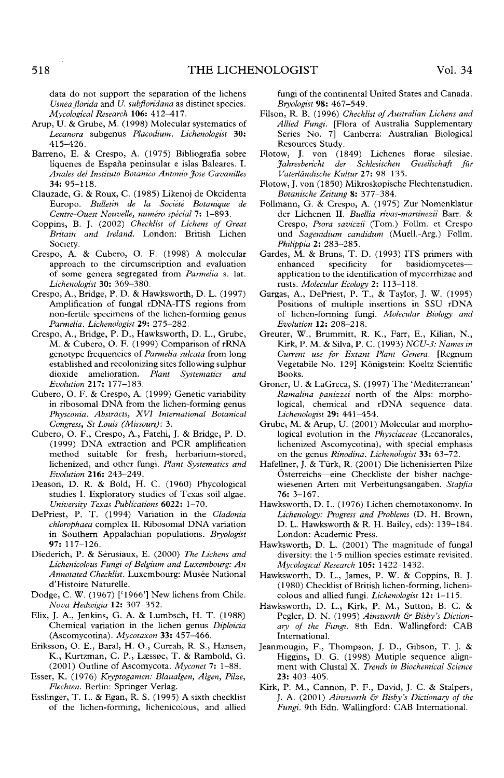data do not support the separation of the lichens *Usneaflorida* and *U. subfloridana* as distinct species. *Mycological Research* **106:** 412-417.

- Arup, U. & Grube, M. (1998) Molecular systematics of *Lecanora* subgenus *Placodium. Lichenologist* 30: 415-426.
- Barreno, E. & Crespo, A. (1975) Bibliografia sobre liquenes de Espana peninsular e islas Baleares. I. *Anales del Institute Botanico Antonio Jose Cavanilles* 34: 95-118.
- Clauzade, G. & Roux, C. (1985) Likenoj de Okcidenta Europe *Bulletin de la Societe Botanique de Centre-Ouest Nouvelle, numero special* 7: 1-893.
- Coppins, B. J. (2002) *Checklist of Lichens of Great Britain and Ireland.* London: British Lichen Society.
- Crespo, A. & Cubero, O. F. (1998) A molecular approach to the circumscription and evaluation of some genera segregated from *Parmelia* s. lat. *Lichenologist* 30: 369-380.
- Crespo, A., Bridge, P. D. & Hawksworth, D. L. (1997) Amplification of fungal rDNA-ITS regions from non-fertile specimens of the lichen-forming genus *Parmelia. Lichenologist* 29: 275-282.
- Crespo, A., Bridge, P. D., Hawksworth, D. L., Grube, M. & Cubero, O. F. (1999) Comparison of rRNA genotype frequencies of *Parmelia sulcata* from long established and recolonizing sites following sulphur dioxide amelioration. *Plant Systematics and Evolution* **217:** 177-183.
- Cubero, O. F. & Crespo, A. (1999) Genetic variability in ribosomal DNA from the lichen-forming genus *Physconia. Abstracts, XVI International Botanical Congress, St Louis (Missouri):* 3.
- Cubero, O. F., Crespo, A., Fatehi, J. & Bridge, P. D. (1999) DNA extraction and PCR amplification method suitable for fresh, herbarium-stored, lichenized, and other fungi. *Plant Systematics and Evolution* **216:** 243-249.
- Deason, D. R. & Bold, H. C. (1960) Phycological studies I. Exploratory studies of Texas soil algae. *University Texas Publications* **6022:** 1-70.
- DePriest, P. T. (1994) Variation in the *Cladonia chlorophaea* complex II. Ribosomal DNA variation in Southern Appalachian populations. *Bryologist* 97: 117-126.
- Diederich, P. & Serusiaux, E. (2000) *The Lichens and Lichenicolous Fungi of Belgium and Luxembourg: An* Annotated Checklist. Luxembourg: Musée National d'Histoire Naturelle.
- Dodge, C. W. (1967) ['1966'] New lichens from Chile. *Nova Hedwigia* **12:** 307-352.
- Elix, J. A., Jenkins, G. A. & Lumbsch, H. T. (1988) Chemical variation in the lichen genus *Diploicia* (Ascomycotina). *Mycotaxon* 33: 457-466.
- Eriksson, O. E., Baral, H. O., Currah, R. S., Hansen, K., Kurtzman, C. P., Laessee, T. & Rambold, G. (2001) Outline of Ascomycota. *Myconet* 7: 1-88.
- Esser, K. (1976) *Kryptogamen: Blaualgen, Algen, Pilze, Flechten.* Berlin: Springer Verlag.
- Esslinger, T. L. & Egan, R. S. (1995) A sixth checklist of the lichen-forming, lichenicolous, and allied

fungi of the continental United States and Canada. *Bryologist* 98: 467-549.

- Filson, R. B. (1996) *Checklist of Australian Lichens and Allied Fungi.* [Flora of Australia Supplementary Series No. 7] Canberra: Australian Biological Resources Study.
- Flotow, J. von (1849) Lichenes florae silesiae. *Jahresbericht der Schlesischen Gesellschaft fiir Vaterldndische Kultur* 27: 98-135.
- Flotow, J. von (1850) Mikroskopische Flechtenstudien. *Botanische Zeitung* 8: 377-384.
- Follmann, G. & Crespo, A. (1975) Zur Nomenklatur der Lichenen II. *Buellia rivas-martinezii* Barr. & Crespo, *Psora saviczii* (Tom.) Follm. et Crespo und *Sagenidium candidum* (Muell.-Arg.) Follm. *Philippia* 2: 283-285.
- Gardes, M. & Bruns, T. D. (1993) ITS primers with enhanced specificity for basidiomycetes application to the identification of mycorrhizae and rusts. *Molecular Ecology* 2: 113-118.
- Gargas, A., DePriest, P. T., & Taylor, J. W. (1995) Positions of multiple insertions in SSU rDNA of lichen-forming fungi. *Molecular Biology and Evolution* **12:** 208-218.
- Greuter, W., Brummitt, R. K., Farr, E., Kilian, N., Kirk, P. M. & Silva, P. C. (1993) *NCU-3: Names in Current use for Extant Plant Genera.* [Regnum Vegetabile No. 129] Königstein: Koeltz Scientific Books.
- Groner, U. & LaGreca, S. (1997) The 'Mediterranean' *Ramalina panizzei* north of the Alps: morphological, chemical and rDNA sequence data. *Lichenologist* 29: 441^454.
- Grube, M. & Arup, U. (2001) Molecular and morphological evolution in the *Physciaceae* (Lecanorales, lichenized Ascomycotina), with special emphasis on the genus *Rinodina. Lichenologist* 33: 63-72.
- Hafellner, J. & Turk, R. (2001) Die lichenisierten Pilze Osterreichs—eine Checkliste der bisher nachgewiesenen Arten mit Verbeitungsangaben. *Stapfia* 76: 3-167.
- Hawksworth, D. L. (1976) Lichen chemotaxonomy. In *Lichenology: Progress and Problems* (D. H. Brown, D. L. Hawksworth & R. H. Bailey, eds): 139-184. London: Academic Press.
- Hawksworth, D. L. (2001) The magnitude of fungal diversity: the 1-5 million species estimate revisited. *Mycological Research* **105:** 1422-1432.
- Hawksworth, D. L., James, P. W. & Coppins, B. J. (1980) Checklist of British lichen-forming, lichenicolous and allied fungi. *Lichenologist* 12: 1-115.
- Hawksworth, D. L., Kirk, P. M., Sutton, B. C. & Pegler, D. N. (1995) *Ainsworth & Bisby's Dictionary of the Fungi.* 8th Edn. Wallingford: CAB International.
- Jeanmougin, F., Thompson, J. D., Gibson, T. J. & Higgins, D. G. (1998) Mutiple sequence alignment with Clustal X. *Trends in Biochemical Science* 23: 403-405.
- Kirk, P. M., Cannon, P. F., David, J. C. & Stalpers, J. A. (2001) *Ainsworth & Bisby's Dictionary of the Fungi.* 9th Edn. Wallingford: CAB International.